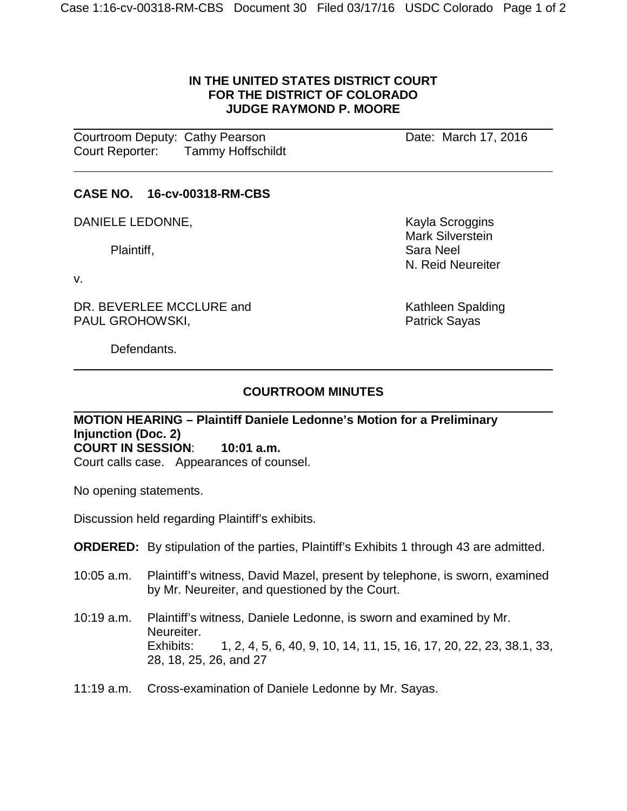### **IN THE UNITED STATES DISTRICT COURT FOR THE DISTRICT OF COLORADO JUDGE RAYMOND P. MOORE**

 **Courtroom Deputy: Cathy Pearson Courtroom Date: March 17, 2016** Court Reporter: Tammy Hoffschildt

## **CASE NO. 16-cv-00318-RM-CBS**

DANIELE LEDONNE, Santa Controller and Mayla Scroggins

v.

 $\overline{a}$ 

DR. BEVERLEE MCCLURE and THE MOST MATHEM Spalding<br>
PAUL GROHOWSKI, THE SAND MATHEM Sayas PAUL GROHOWSKI,

Mark Silverstein Plaintiff, Sara Neel Sara Neel Sara Neel Sara Neel Sara Neel Sara Neel Sara Neel Sara Neel Sara Neel Sara Neel N. Reid Neureiter

Defendants.

# **COURTROOM MINUTES**

#### **MOTION HEARING – Plaintiff Daniele Ledonne's Motion for a Preliminary Injunction (Doc. 2) COURT IN SESSION**: **10:01 a.m.**

Court calls case. Appearances of counsel.

No opening statements.

Discussion held regarding Plaintiff's exhibits.

## **ORDERED:** By stipulation of the parties, Plaintiff's Exhibits 1 through 43 are admitted.

- 10:05 a.m. Plaintiff's witness, David Mazel, present by telephone, is sworn, examined by Mr. Neureiter, and questioned by the Court.
- 10:19 a.m. Plaintiff's witness, Daniele Ledonne, is sworn and examined by Mr. Neureiter. Exhibits: 1, 2, 4, 5, 6, 40, 9, 10, 14, 11, 15, 16, 17, 20, 22, 23, 38.1, 33, 28, 18, 25, 26, and 27
- 11:19 a.m. Cross-examination of Daniele Ledonne by Mr. Sayas.